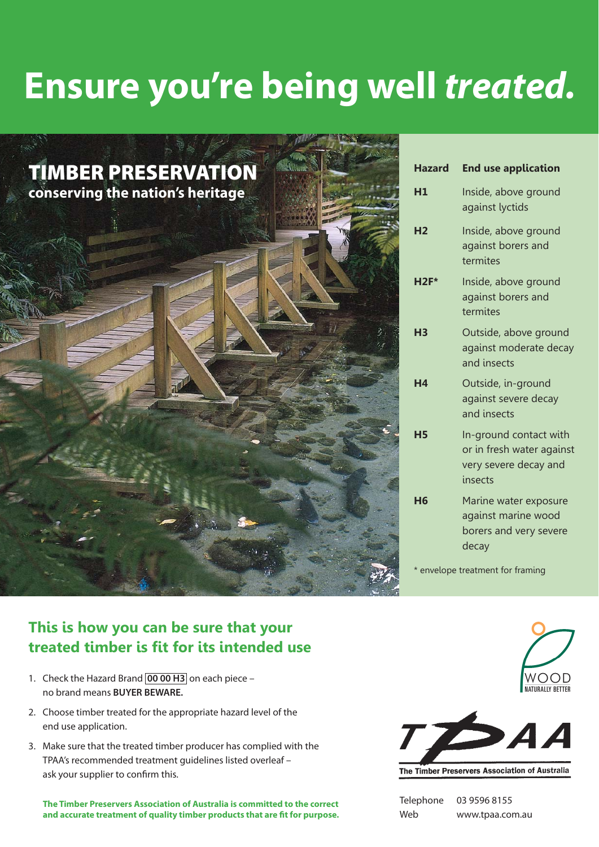## **Ensure you're being well** *treated.*



| <b>Hazard</b>  | <b>End use application</b>                                                              |
|----------------|-----------------------------------------------------------------------------------------|
| H1             | Inside, above ground<br>against lyctids                                                 |
| H <sub>2</sub> | Inside, above ground<br>against borers and<br>termites                                  |
| $H2F*$         | Inside, above ground<br>against borers and<br>termites                                  |
| H <sub>3</sub> | Outside, above ground<br>against moderate decay<br>and insects                          |
| H <sub>4</sub> | Outside, in-ground<br>against severe decay<br>and insects                               |
| <b>H5</b>      | In-ground contact with<br>or in fresh water against<br>very severe decay and<br>insects |
| H <sub>6</sub> | Marine water exposure<br>against marine wood<br>borers and very severe<br>decay         |
|                | * envelope treatment for framing                                                        |

## **This is how you can be sure that your treated timber is fit for its intended use**

- 1. Check the Hazard Brand **00 00 H3** on each piece no brand means **BUYER BEWARE.**
- 2. Choose timber treated for the appropriate hazard level of the end use application.
- 3. Make sure that the treated timber producer has complied with the TPAA's recommended treatment guidelines listed overleaf – ask your supplier to confirm this.

**The Timber Preservers Association of Australia is committed to the correct**  and accurate treatment of quality timber products that are fit for purpose.





The Timber Preservers Association of Australia

| Telephone | 03 9596 8155    |
|-----------|-----------------|
| Web       | www.tpaa.com.au |